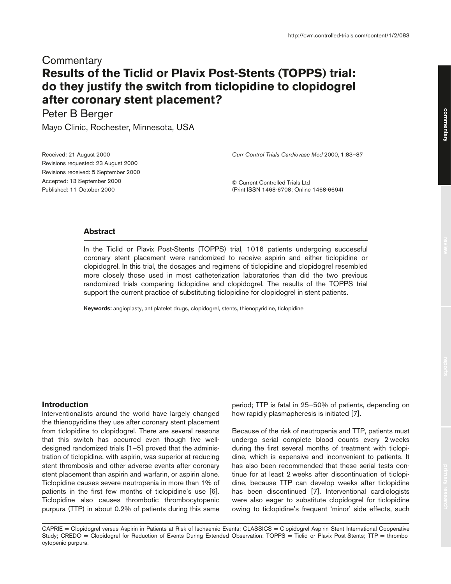# **Commentary Results of the Ticlid or Plavix Post-Stents (TOPPS) trial: do they justify the switch from ticlopidine to clopidogrel after coronary stent placement?**

Peter B Berger

Mayo Clinic, Rochester, Minnesota, USA

*Curr Control Trials Cardiovasc Med* 2000, **1**:83–87

Received: 21 August 2000 Revisions requested: 23 August 2000 Revisions received: 5 September 2000 Accepted: 13 September 2000 Published: 11 October 2000

© Current Controlled Trials Ltd (Print ISSN 1468-6708; Online 1468-6694)

# **Abstract**

In the Ticlid or Plavix Post-Stents (TOPPS) trial, 1016 patients undergoing successful coronary stent placement were randomized to receive aspirin and either ticlopidine or clopidogrel. In this trial, the dosages and regimens of ticlopidine and clopidogrel resembled more closely those used in most catheterization laboratories than did the two previous randomized trials comparing ticlopidine and clopidogrel. The results of the TOPPS trial support the current practice of substituting ticlopidine for clopidogrel in stent patients.

**Keywords:** angioplasty, antiplatelet drugs, clopidogrel, stents, thienopyridine, ticlopidine

#### **Introduction**

Interventionalists around the world have largely changed the thienopyridine they use after coronary stent placement from ticlopidine to clopidogrel. There are several reasons that this switch has occurred even though five welldesigned randomized trials [1–5] proved that the administration of ticlopidine, with aspirin, was superior at reducing stent thrombosis and other adverse events after coronary stent placement than aspirin and warfarin, or aspirin alone. Ticlopidine causes severe neutropenia in more than 1% of patients in the first few months of ticlopidine's use [6]. Ticlopidine also causes thrombotic thrombocytopenic purpura (TTP) in about 0.2% of patients during this same

period; TTP is fatal in 25–50% of patients, depending on how rapidly plasmapheresis is initiated [7].

Because of the risk of neutropenia and TTP, patients must undergo serial complete blood counts every 2 weeks during the first several months of treatment with ticlopidine, which is expensive and inconvenient to patients. It has also been recommended that these serial tests continue for at least 2 weeks after discontinuation of ticlopidine, because TTP can develop weeks after ticlopidine has been discontinued [7]. Interventional cardiologists were also eager to substitute clopidogrel for ticlopidine owing to ticlopidine's frequent 'minor' side effects, such

CAPRIE = Clopidogrel versus Aspirin in Patients at Risk of Ischaemic Events; CLASSICS = Clopidogrel Aspirin Stent International Cooperative Study; CREDO = Clopidogrel for Reduction of Events During Extended Observation; TOPPS = Ticlid or Plavix Post-Stents; TTP = thrombocytopenic purpura.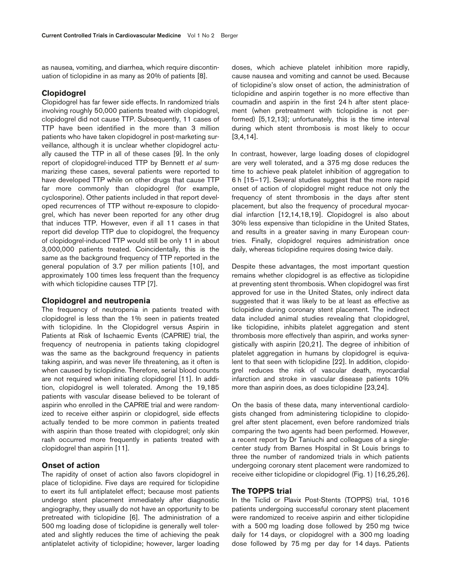as nausea, vomiting, and diarrhea, which require discontinuation of ticlopidine in as many as 20% of patients [8].

# **Clopidogrel**

Clopidogrel has far fewer side effects. In randomized trials involving roughly 50,000 patients treated with clopidogrel, clopidogrel did not cause TTP. Subsequently, 11 cases of TTP have been identified in the more than 3 million patients who have taken clopidogrel in post-marketing surveillance, although it is unclear whether clopidogrel actually caused the TTP in all of these cases [9]. In the only report of clopidogrel-induced TTP by Bennett *et al* summarizing these cases, several patients were reported to have developed TTP while on other drugs that cause TTP far more commonly than clopidogrel (for example, cyclosporine). Other patients included in that report developed recurrences of TTP without re-exposure to clopidogrel, which has never been reported for any other drug that induces TTP. However, even if all 11 cases in that report did develop TTP due to clopidogrel, the frequency of clopidogrel-induced TTP would still be only 11 in about 3,000,000 patients treated. Coincidentally, this is the same as the background frequency of TTP reported in the general population of 3.7 per million patients [10], and approximately 100 times less frequent than the frequency with which ticlopidine causes TTP [7].

### **Clopidogrel and neutropenia**

The frequency of neutropenia in patients treated with clopidogrel is less than the 1% seen in patients treated with ticlopidine. In the Clopidogrel versus Aspirin in Patients at Risk of Ischaemic Events (CAPRIE) trial, the frequency of neutropenia in patients taking clopidogrel was the same as the background frequency in patients taking aspirin, and was never life threatening, as it often is when caused by ticlopidine. Therefore, serial blood counts are not required when initiating clopidogrel [11]. In addition, clopidogrel is well tolerated. Among the 19,185 patients with vascular disease believed to be tolerant of aspirin who enrolled in the CAPRIE trial and were randomized to receive either aspirin or clopidogrel, side effects actually tended to be more common in patients treated with aspirin than those treated with clopidogrel; only skin rash occurred more frequently in patients treated with clopidogrel than aspirin [11].

### **Onset of action**

The rapidity of onset of action also favors clopidogrel in place of ticlopidine. Five days are required for ticlopidine to exert its full antiplatelet effect; because most patients undergo stent placement immediately after diagnostic angiography, they usually do not have an opportunity to be pretreated with ticlopidine [6]. The administration of a 500 mg loading dose of ticlopidine is generally well tolerated and slightly reduces the time of achieving the peak antiplatelet activity of ticlopidine; however, larger loading doses, which achieve platelet inhibition more rapidly, cause nausea and vomiting and cannot be used. Because of ticlopidine's slow onset of action, the administration of ticlopidine and aspirin together is no more effective than coumadin and aspirin in the first 24 h after stent placement (when pretreatment with ticlopidine is not performed) [5,12,13]; unfortunately, this is the time interval during which stent thrombosis is most likely to occur [3,4,14].

In contrast, however, large loading doses of clopidogrel are very well tolerated, and a 375 mg dose reduces the time to achieve peak platelet inhibition of aggregation to 6 h [15–17]. Several studies suggest that the more rapid onset of action of clopidogrel might reduce not only the frequency of stent thrombosis in the days after stent placement, but also the frequency of procedural myocardial infarction [12,14,18,19]. Clopidogrel is also about 30% less expensive than ticlopidine in the United States, and results in a greater saving in many European countries. Finally, clopidogrel requires administration once daily, whereas ticlopidine requires dosing twice daily.

Despite these advantages, the most important question remains whether clopidogrel is as effective as ticlopidine at preventing stent thrombosis. When clopidogrel was first approved for use in the United States, only indirect data suggested that it was likely to be at least as effective as ticlopidine during coronary stent placement. The indirect data included animal studies revealing that clopidogrel, like ticlopidine, inhibits platelet aggregation and stent thrombosis more effectively than aspirin, and works synergistically with aspirin [20,21]. The degree of inhibition of platelet aggregation in humans by clopidogrel is equivalent to that seen with ticlopidine [22]. In addition, clopidogrel reduces the risk of vascular death, myocardial infarction and stroke in vascular disease patients 10% more than aspirin does, as does ticlopidine [23,24].

On the basis of these data, many interventional cardiologists changed from administering ticlopidine to clopidogrel after stent placement, even before randomized trials comparing the two agents had been performed. However, a recent report by Dr Taniuchi and colleagues of a singlecenter study from Barnes Hospital in St Louis brings to three the number of randomized trials in which patients undergoing coronary stent placement were randomized to receive either ticlopidine or clopidogrel (Fig. 1) [16,25,26].

### **The TOPPS trial**

In the Ticlid or Plavix Post-Stents (TOPPS) trial, 1016 patients undergoing successful coronary stent placement were randomized to receive aspirin and either ticlopidine with a 500 mg loading dose followed by 250 mg twice daily for 14 days, or clopidogrel with a 300 mg loading dose followed by 75 mg per day for 14 days. Patients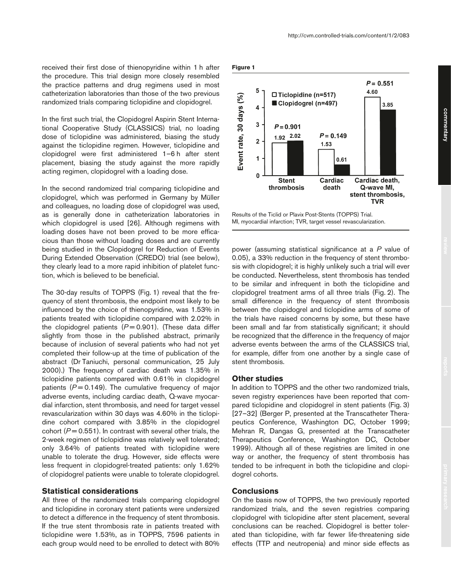received their first dose of thienopyridine within 1 h after the procedure. This trial design more closely resembled the practice patterns and drug regimens used in most catheterization laboratories than those of the two previous randomized trials comparing ticlopidine and clopidogrel.

In the first such trial, the Clopidogrel Aspirin Stent International Cooperative Study (CLASSICS) trial, no loading dose of ticlopidine was administered, biasing the study against the ticlopidine regimen. However, ticlopidine and clopidogrel were first administered 1–6 h after stent placement, biasing the study against the more rapidly acting regimen, clopidogrel with a loading dose.

In the second randomized trial comparing ticlopidine and clopidogrel, which was performed in Germany by Müller and colleagues, no loading dose of clopidogrel was used, as is generally done in catheterization laboratories in which clopidogrel is used [26]. Although regimens with loading doses have not been proved to be more efficacious than those without loading doses and are currently being studied in the Clopidogrel for Reduction of Events During Extended Observation (CREDO) trial (see below), they clearly lead to a more rapid inhibition of platelet function, which is believed to be beneficial.

The 30-day results of TOPPS (Fig. 1) reveal that the frequency of stent thrombosis, the endpoint most likely to be influenced by the choice of thienopyridine, was 1.53% in patients treated with ticlopidine compared with 2.02% in the clopidogrel patients  $(P=0.901)$ . (These data differ slightly from those in the published abstract, primarily because of inclusion of several patients who had not yet completed their follow-up at the time of publication of the abstract (Dr Taniuchi, personal communication, 25 July 2000).) The frequency of cardiac death was 1.35% in ticlopidine patients compared with 0.61% in clopidogrel patients  $(P = 0.149)$ . The cumulative frequency of major adverse events, including cardiac death, Q-wave myocardial infarction, stent thrombosis, and need for target vessel revascularization within 30 days was 4.60% in the ticlopidine cohort compared with 3.85% in the clopidogrel cohort  $(P = 0.551)$ . In contrast with several other trials, the 2-week regimen of ticlopidine was relatively well tolerated; only 3.64% of patients treated with ticlopidine were unable to tolerate the drug. However, side effects were less frequent in clopidogrel-treated patients: only 1.62% of clopidogrel patients were unable to tolerate clopidogrel.

## **Statistical considerations**

All three of the randomized trials comparing clopidogrel and ticlopidine in coronary stent patients were undersized to detect a difference in the frequency of stent thrombosis. If the true stent thrombosis rate in patients treated with ticlopidine were 1.53%, as in TOPPS, 7596 patients in each group would need to be enrolled to detect with 80%





Results of the Ticlid or Plavix Post-Stents (TOPPS) Trial. MI, myocardial infarction; TVR, target vessel revascularization.

power (assuming statistical significance at a *P* value of 0.05), a 33% reduction in the frequency of stent thrombosis with clopidogrel; it is highly unlikely such a trial will ever be conducted. Nevertheless, stent thrombosis has tended to be similar and infrequent in both the ticlopidine and clopidogrel treatment arms of all three trials (Fig. 2). The small difference in the frequency of stent thrombosis between the clopidogrel and ticlopidine arms of some of the trials have raised concerns by some, but these have been small and far from statistically significant; it should be recognized that the difference in the frequency of major adverse events between the arms of the CLASSICS trial, for example, differ from one another by a single case of stent thrombosis.

# **Other studies**

In addition to TOPPS and the other two randomized trials, seven registry experiences have been reported that compared ticlopidine and clopidogrel in stent patients (Fig. 3) [27–32] (Berger P, presented at the Transcatheter Therapeutics Conference, Washington DC, October 1999; Mehran R, Dangas G, presented at the Transcatheter Therapeutics Conference, Washington DC, October 1999). Although all of these registries are limited in one way or another, the frequency of stent thrombosis has tended to be infrequent in both the ticlopidine and clopidogrel cohorts.

# **Conclusions**

On the basis now of TOPPS, the two previously reported randomized trials, and the seven registries comparing clopidogrel with ticlopidine after stent placement, several conclusions can be reached. Clopidogrel is better tolerated than ticlopidine, with far fewer life-threatening side effects (TTP and neutropenia) and minor side effects as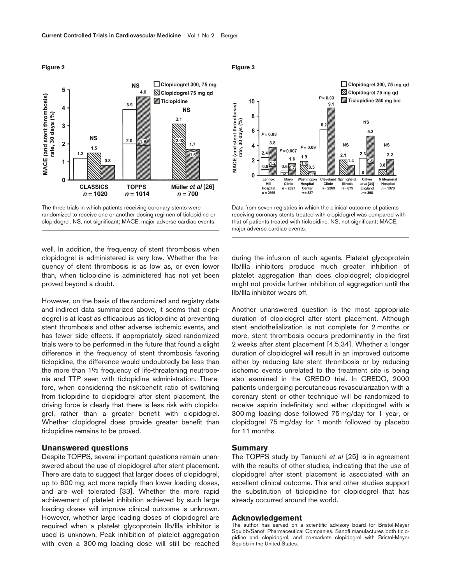

The three trials in which patients receiving coronary stents were randomized to receive one or another dosing regimen of ticlopidine or clopidogrel. NS, not significant; MACE, major adverse cardiac events.

well. In addition, the frequency of stent thrombosis when clopidogrel is administered is very low. Whether the frequency of stent thrombosis is as low as, or even lower than, when ticlopidine is administered has not yet been proved beyond a doubt.

However, on the basis of the randomized and registry data and indirect data summarized above, it seems that clopidogrel is at least as efficacious as ticlopidine at preventing stent thrombosis and other adverse ischemic events, and has fewer side effects. If appropriately sized randomized trials were to be performed in the future that found a slight difference in the frequency of stent thrombosis favoring ticlopidine, the difference would undoubtedly be less than the more than 1% frequency of life-threatening neutropenia and TTP seen with ticlopidine administration. Therefore, when considering the risk:benefit ratio of switching from ticlopidine to clopidogrel after stent placement, the driving force is clearly that there is less risk with clopidogrel, rather than a greater benefit with clopidogrel. Whether clopidogrel does provide greater benefit than ticlopidine remains to be proved.

### **Unanswered questions**

Despite TOPPS, several important questions remain unanswered about the use of clopidogrel after stent placement. There are data to suggest that larger doses of clopidogrel, up to 600 mg, act more rapidly than lower loading doses, and are well tolerated [33]. Whether the more rapid achievement of platelet inhibition achieved by such large loading doses will improve clinical outcome is unknown. However, whether large loading doses of clopidogrel are required when a platelet glycoprotein IIb/IIIa inhibitor is used is unknown. Peak inhibition of platelet aggregation with even a 300 mg loading dose will still be reached





Data from seven registries in which the clinical outcome of patients receiving coronary stents treated with clopidogrel was compared with that of patients treated with ticlopidine. NS, not significant; MACE, major adverse cardiac events.

during the infusion of such agents. Platelet glycoprotein IIb/IIIa inhibitors produce much greater inhibition of platelet aggregation than does clopidogrel; clopidogrel might not provide further inhibition of aggregation until the IIb/IIIa inhibitor wears off.

Another unanswered question is the most appropriate duration of clopidogrel after stent placement. Although stent endothelialization is not complete for 2 months or more, stent thrombosis occurs predominantly in the first 2 weeks after stent placement [4,5,34]. Whether a longer duration of clopidogrel will result in an improved outcome either by reducing late stent thrombosis or by reducing ischemic events unrelated to the treatment site is being also examined in the CREDO trial. In CREDO, 2000 patients undergoing percutaneous revascularization with a coronary stent or other technique will be randomized to receive aspirin indefinitely and either clopidogrel with a 300 mg loading dose followed 75 mg/day for 1 year, or clopidogrel 75 mg/day for 1 month followed by placebo for 11 months.

## **Summary**

The TOPPS study by Taniuchi *et al* [25] is in agreement with the results of other studies, indicating that the use of clopidogrel after stent placement is associated with an excellent clinical outcome. This and other studies support the substitution of ticlopidine for clopidogrel that has already occurred around the world.

#### **Acknowledgement**

The author has served on a scientific advisory board for Bristol-Meyer Squibb/Sanofi Pharmaceutical Companies. Sanofi manufactures both ticlopidine and clopidogrel, and co-markets clopidogrel with Bristol-Meyer Squibb in the United States.